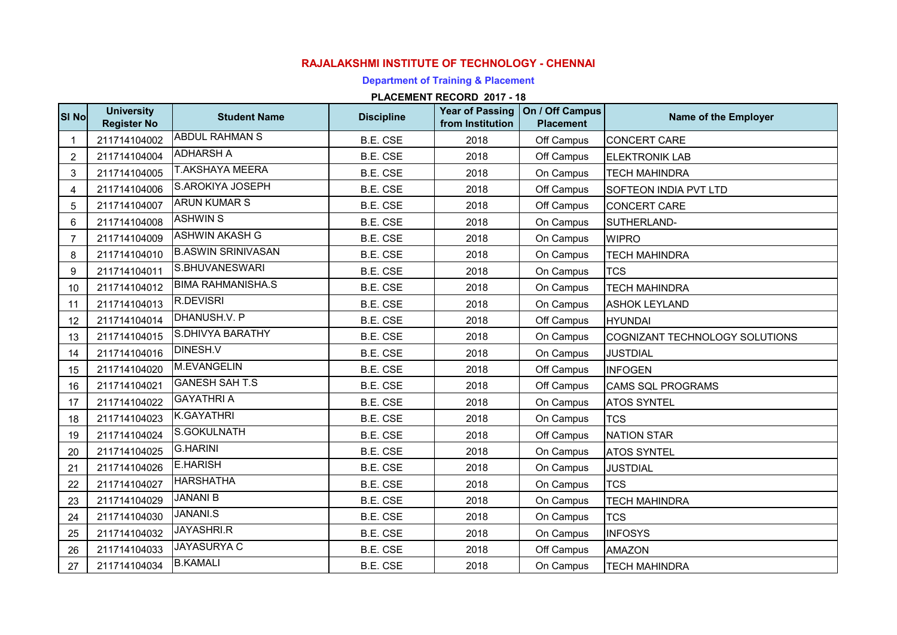## **RAJALAKSHMI INSTITUTE OF TECHNOLOGY - CHENNAI**

## **Department of Training & Placement**

## **PLACEMENT RECORD 2017 - 18**

| SI No          | <b>University</b><br><b>Register No</b> | <b>Student Name</b>       | <b>Discipline</b> | <b>Year of Passing</b><br>from Institution | On / Off Campus<br><b>Placement</b> | Name of the Employer           |
|----------------|-----------------------------------------|---------------------------|-------------------|--------------------------------------------|-------------------------------------|--------------------------------|
|                | 211714104002                            | <b>ABDUL RAHMAN S</b>     | B.E. CSE          | 2018                                       | Off Campus                          | CONCERT CARE                   |
| $\overline{c}$ | 211714104004                            | <b>ADHARSH A</b>          | <b>B.E. CSE</b>   | 2018                                       | Off Campus                          | <b>ELEKTRONIK LAB</b>          |
| 3              | 211714104005                            | <b>T.AKSHAYA MEERA</b>    | B.E. CSE          | 2018                                       | On Campus                           | <b>TECH MAHINDRA</b>           |
| 4              | 211714104006                            | S.AROKIYA JOSEPH          | B.E. CSE          | 2018                                       | Off Campus                          | SOFTEON INDIA PVT LTD          |
| 5              | 211714104007                            | <b>ARUN KUMAR S</b>       | B.E. CSE          | 2018                                       | Off Campus                          | <b>CONCERT CARE</b>            |
| 6              | 211714104008                            | <b>ASHWIN S</b>           | <b>B.E. CSE</b>   | 2018                                       | On Campus                           | SUTHERLAND-                    |
| $\overline{7}$ | 211714104009                            | <b>ASHWIN AKASH G</b>     | <b>B.E. CSE</b>   | 2018                                       | On Campus                           | <b>WIPRO</b>                   |
| 8              | 211714104010                            | <b>B.ASWIN SRINIVASAN</b> | B.E. CSE          | 2018                                       | On Campus                           | <b>TECH MAHINDRA</b>           |
| 9              | 211714104011                            | S.BHUVANESWARI            | B.E. CSE          | 2018                                       | On Campus                           | <b>TCS</b>                     |
| 10             | 211714104012                            | <b>BIMA RAHMANISHA.S</b>  | B.E. CSE          | 2018                                       | On Campus                           | <b>TECH MAHINDRA</b>           |
| 11             | 211714104013                            | <b>R.DEVISRI</b>          | <b>B.E. CSE</b>   | 2018                                       | On Campus                           | <b>ASHOK LEYLAND</b>           |
| 12             | 211714104014                            | DHANUSH.V. P              | B.E. CSE          | 2018                                       | Off Campus                          | <b>HYUNDAI</b>                 |
| 13             | 211714104015                            | S.DHIVYA BARATHY          | <b>B.E. CSE</b>   | 2018                                       | On Campus                           | COGNIZANT TECHNOLOGY SOLUTIONS |
| 14             | 211714104016                            | <b>DINESH.V</b>           | B.E. CSE          | 2018                                       | On Campus                           | <b>JUSTDIAL</b>                |
| 15             | 211714104020                            | M.EVANGELIN               | <b>B.E. CSE</b>   | 2018                                       | Off Campus                          | <b>INFOGEN</b>                 |
| 16             | 211714104021                            | <b>GANESH SAH T.S</b>     | <b>B.E. CSE</b>   | 2018                                       | Off Campus                          | <b>CAMS SQL PROGRAMS</b>       |
| 17             | 211714104022                            | <b>GAYATHRI A</b>         | B.E. CSE          | 2018                                       | On Campus                           | <b>ATOS SYNTEL</b>             |
| 18             | 211714104023                            | K.GAYATHRI                | B.E. CSE          | 2018                                       | On Campus                           | <b>TCS</b>                     |
| 19             | 211714104024                            | S.GOKULNATH               | B.E. CSE          | 2018                                       | Off Campus                          | <b>NATION STAR</b>             |
| 20             | 211714104025                            | <b>G.HARINI</b>           | B.E. CSE          | 2018                                       | On Campus                           | <b>ATOS SYNTEL</b>             |
| 21             | 211714104026                            | <b>E.HARISH</b>           | <b>B.E. CSE</b>   | 2018                                       | On Campus                           | <b>JUSTDIAL</b>                |
| 22             | 211714104027                            | <b>HARSHATHA</b>          | B.E. CSE          | 2018                                       | On Campus                           | <b>TCS</b>                     |
| 23             | 211714104029                            | <b>JANANI B</b>           | <b>B.E. CSE</b>   | 2018                                       | On Campus                           | <b>TECH MAHINDRA</b>           |
| 24             | 211714104030                            | <b>JANANI.S</b>           | B.E. CSE          | 2018                                       | On Campus                           | <b>TCS</b>                     |
| 25             | 211714104032                            | JAYASHRI.R                | B.E. CSE          | 2018                                       | On Campus                           | <b>INFOSYS</b>                 |
| 26             | 211714104033                            | <b>JAYASURYA C</b>        | <b>B.E. CSE</b>   | 2018                                       | Off Campus                          | <b>AMAZON</b>                  |
| 27             | 211714104034                            | <b>B.KAMALI</b>           | B.E. CSE          | 2018                                       | On Campus                           | <b>TECH MAHINDRA</b>           |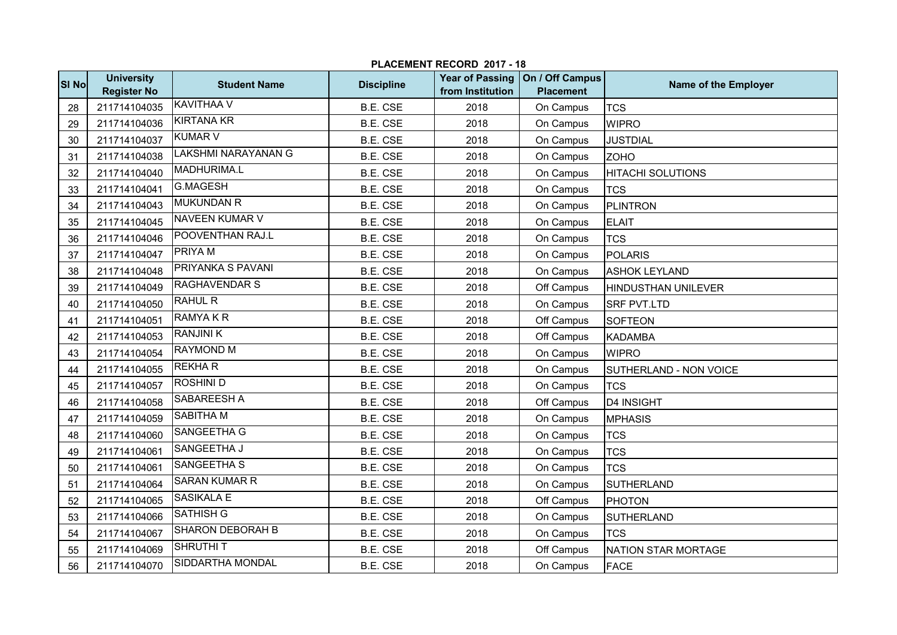|       | PLACEMENT RECORD 2017 - 18              |                            |                   |                                            |                                     |                          |  |  |
|-------|-----------------------------------------|----------------------------|-------------------|--------------------------------------------|-------------------------------------|--------------------------|--|--|
| SI No | <b>University</b><br><b>Register No</b> | <b>Student Name</b>        | <b>Discipline</b> | <b>Year of Passing</b><br>from Institution | On / Off Campus<br><b>Placement</b> | Name of the Employer     |  |  |
| 28    | 211714104035                            | <b>KAVITHAA V</b>          | B.E. CSE          | 2018                                       | On Campus                           | <b>TCS</b>               |  |  |
| 29    | 211714104036                            | <b>KIRTANA KR</b>          | <b>B.E. CSE</b>   | 2018                                       | On Campus                           | <b>WIPRO</b>             |  |  |
| 30    | 211714104037                            | <b>KUMAR V</b>             | B.E. CSE          | 2018                                       | On Campus                           | <b>JUSTDIAL</b>          |  |  |
| 31    | 211714104038                            | <b>LAKSHMI NARAYANAN G</b> | B.E. CSE          | 2018                                       | On Campus                           | <b>ZOHO</b>              |  |  |
| 32    | 211714104040                            | MADHURIMA.L                | <b>B.E. CSE</b>   | 2018                                       | On Campus                           | <b>HITACHI SOLUTIONS</b> |  |  |
| 33    | 211714104041                            | <b>G.MAGESH</b>            | <b>B.E. CSE</b>   | 2018                                       | On Campus                           | <b>TCS</b>               |  |  |
| 34    | 211714104043                            | <b>MUKUNDAN R</b>          | <b>B.E. CSE</b>   | 2018                                       | On Campus                           | PLINTRON                 |  |  |
| 35    | 211714104045                            | <b>NAVEEN KUMAR V</b>      | <b>B.E. CSE</b>   | 2018                                       | On Campus                           | <b>ELAIT</b>             |  |  |
| 36    | 211714104046                            | POOVENTHAN RAJ.L           | <b>B.E. CSE</b>   | 2018                                       | On Campus                           | <b>TCS</b>               |  |  |
| 37    | 211714104047                            | PRIYA M                    | <b>B.E. CSE</b>   | 2018                                       | On Campus                           | POLARIS                  |  |  |
| 38    | 211714104048                            | PRIYANKA S PAVANI          | <b>B.E. CSE</b>   | 2018                                       | On Campus                           | <b>ASHOK LEYLAND</b>     |  |  |
| 39    | 211714104049                            | <b>RAGHAVENDAR S</b>       | <b>B.E. CSE</b>   | 2018                                       | Off Campus                          | HINDUSTHAN UNILEVER      |  |  |
| 40    | 211714104050                            | <b>RAHUL R</b>             | <b>B.E. CSE</b>   | 2018                                       | On Campus                           | <b>SRF PVT.LTD</b>       |  |  |
| 41    | 211714104051                            | <b>RAMYAKR</b>             | B.E. CSE          | 2018                                       | Off Campus                          | <b>SOFTEON</b>           |  |  |
| 42    | 211714104053                            | <b>RANJINI K</b>           | B.E. CSE          | 2018                                       | Off Campus                          | <b>KADAMBA</b>           |  |  |
| 43    | 211714104054                            | <b>RAYMOND M</b>           | B.E. CSE          | 2018                                       | On Campus                           | <b>WIPRO</b>             |  |  |
| 44    | 211714104055                            | <b>REKHAR</b>              | B.E. CSE          | 2018                                       | On Campus                           | SUTHERLAND - NON VOICE   |  |  |
| 45    | 211714104057                            | <b>ROSHINI D</b>           | <b>B.E. CSE</b>   | 2018                                       | On Campus                           | <b>TCS</b>               |  |  |
| 46    | 211714104058                            | <b>SABAREESH A</b>         | B.E. CSE          | 2018                                       | Off Campus                          | D4 INSIGHT               |  |  |
| 47    | 211714104059                            | <b>SABITHA M</b>           | B.E. CSE          | 2018                                       | On Campus                           | <b>MPHASIS</b>           |  |  |
| 48    | 211714104060                            | SANGEETHA G                | <b>B.E. CSE</b>   | 2018                                       | On Campus                           | <b>TCS</b>               |  |  |
| 49    | 211714104061                            | SANGEETHA J                | <b>B.E. CSE</b>   | 2018                                       | On Campus                           | <b>TCS</b>               |  |  |
| 50    | 211714104061                            | SANGEETHA S                | <b>B.E. CSE</b>   | 2018                                       | On Campus                           | <b>TCS</b>               |  |  |
| 51    | 211714104064                            | <b>SARAN KUMAR R</b>       | <b>B.E. CSE</b>   | 2018                                       | On Campus                           | <b>SUTHERLAND</b>        |  |  |
| 52    | 211714104065                            | <b>SASIKALA E</b>          | B.E. CSE          | 2018                                       | Off Campus                          | <b>PHOTON</b>            |  |  |
| 53    | 211714104066                            | <b>SATHISH G</b>           | <b>B.E. CSE</b>   | 2018                                       | On Campus                           | SUTHERLAND               |  |  |
| 54    | 211714104067                            | <b>SHARON DEBORAH B</b>    | B.E. CSE          | 2018                                       | On Campus                           | <b>TCS</b>               |  |  |
| 55    | 211714104069                            | <b>SHRUTHIT</b>            | B.E. CSE          | 2018                                       | Off Campus                          | NATION STAR MORTAGE      |  |  |
| 56    | 211714104070                            | SIDDARTHA MONDAL           | B.E. CSE          | 2018                                       | On Campus                           | <b>FACE</b>              |  |  |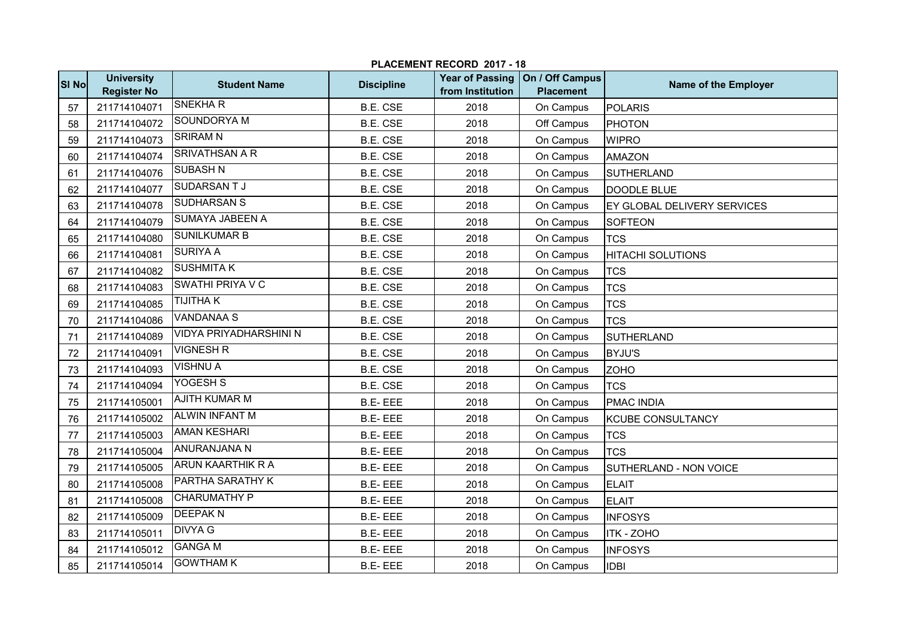|       | PLACEMENT RECORD 2017 - 18              |                               |                   |                                            |                                     |                             |  |  |
|-------|-----------------------------------------|-------------------------------|-------------------|--------------------------------------------|-------------------------------------|-----------------------------|--|--|
| SI No | <b>University</b><br><b>Register No</b> | <b>Student Name</b>           | <b>Discipline</b> | <b>Year of Passing</b><br>from Institution | On / Off Campus<br><b>Placement</b> | Name of the Employer        |  |  |
| 57    | 211714104071                            | <b>SNEKHAR</b>                | <b>B.E. CSE</b>   | 2018                                       | On Campus                           | <b>POLARIS</b>              |  |  |
| 58    | 211714104072                            | <b>SOUNDORYA M</b>            | <b>B.E. CSE</b>   | 2018                                       | Off Campus                          | PHOTON                      |  |  |
| 59    | 211714104073                            | <b>SRIRAM N</b>               | B.E. CSE          | 2018                                       | On Campus                           | <b>WIPRO</b>                |  |  |
| 60    | 211714104074                            | <b>SRIVATHSAN A R</b>         | B.E. CSE          | 2018                                       | On Campus                           | <b>AMAZON</b>               |  |  |
| 61    | 211714104076                            | <b>SUBASH N</b>               | <b>B.E. CSE</b>   | 2018                                       | On Campus                           | SUTHERLAND                  |  |  |
| 62    | 211714104077                            | <b>SUDARSANTJ</b>             | B.E. CSE          | 2018                                       | On Campus                           | DOODLE BLUE                 |  |  |
| 63    | 211714104078                            | <b>SUDHARSAN S</b>            | <b>B.E. CSE</b>   | 2018                                       | On Campus                           | EY GLOBAL DELIVERY SERVICES |  |  |
| 64    | 211714104079                            | <b>SUMAYA JABEEN A</b>        | B.E. CSE          | 2018                                       | On Campus                           | SOFTEON                     |  |  |
| 65    | 211714104080                            | <b>SUNILKUMAR B</b>           | <b>B.E. CSE</b>   | 2018                                       | On Campus                           | <b>TCS</b>                  |  |  |
| 66    | 211714104081                            | <b>SURIYA A</b>               | <b>B.E. CSE</b>   | 2018                                       | On Campus                           | <b>HITACHI SOLUTIONS</b>    |  |  |
| 67    | 211714104082                            | <b>SUSHMITAK</b>              | <b>B.E. CSE</b>   | 2018                                       | On Campus                           | <b>TCS</b>                  |  |  |
| 68    | 211714104083                            | <b>SWATHI PRIYA V C</b>       | <b>B.E. CSE</b>   | 2018                                       | On Campus                           | <b>TCS</b>                  |  |  |
| 69    | 211714104085                            | <b>TIJITHAK</b>               | <b>B.E. CSE</b>   | 2018                                       | On Campus                           | <b>TCS</b>                  |  |  |
| 70    | 211714104086                            | <b>VANDANAA S</b>             | B.E. CSE          | 2018                                       | On Campus                           | <b>TCS</b>                  |  |  |
| 71    | 211714104089                            | <b>VIDYA PRIYADHARSHINI N</b> | <b>B.E. CSE</b>   | 2018                                       | On Campus                           | SUTHERLAND                  |  |  |
| 72    | 211714104091                            | <b>VIGNESH R</b>              | <b>B.E. CSE</b>   | 2018                                       | On Campus                           | <b>BYJU'S</b>               |  |  |
| 73    | 211714104093                            | <b>VISHNU A</b>               | <b>B.E. CSE</b>   | 2018                                       | On Campus                           | <b>ZOHO</b>                 |  |  |
| 74    | 211714104094                            | YOGESH <sub>S</sub>           | <b>B.E. CSE</b>   | 2018                                       | On Campus                           | <b>TCS</b>                  |  |  |
| 75    | 211714105001                            | <b>AJITH KUMAR M</b>          | <b>B.E-EEE</b>    | 2018                                       | On Campus                           | <b>PMAC INDIA</b>           |  |  |
| 76    | 211714105002                            | <b>ALWIN INFANT M</b>         | <b>B.E-EEE</b>    | 2018                                       | On Campus                           | <b>KCUBE CONSULTANCY</b>    |  |  |
| 77    | 211714105003                            | <b>AMAN KESHARI</b>           | <b>B.E-EEE</b>    | 2018                                       | On Campus                           | <b>TCS</b>                  |  |  |
| 78    | 211714105004                            | <b>ANURANJANA N</b>           | <b>B.E-EEE</b>    | 2018                                       | On Campus                           | <b>TCS</b>                  |  |  |
| 79    | 211714105005                            | <b>ARUN KAARTHIK R A</b>      | <b>B.E-EEE</b>    | 2018                                       | On Campus                           | SUTHERLAND - NON VOICE      |  |  |
| 80    | 211714105008                            | PARTHA SARATHY K              | <b>B.E-EEE</b>    | 2018                                       | On Campus                           | <b>ELAIT</b>                |  |  |
| 81    | 211714105008                            | <b>CHARUMATHY P</b>           | <b>B.E-EEE</b>    | 2018                                       | On Campus                           | <b>ELAIT</b>                |  |  |
| 82    | 211714105009                            | <b>DEEPAKN</b>                | <b>B.E-EEE</b>    | 2018                                       | On Campus                           | <b>INFOSYS</b>              |  |  |
| 83    | 211714105011                            | <b>DIVYA G</b>                | <b>B.E-EEE</b>    | 2018                                       | On Campus                           | <b>ITK - ZOHO</b>           |  |  |
| 84    | 211714105012                            | <b>GANGA M</b>                | <b>B.E-EEE</b>    | 2018                                       | On Campus                           | <b>INFOSYS</b>              |  |  |
| 85    | 211714105014                            | <b>GOWTHAM K</b>              | <b>B.E-EEE</b>    | 2018                                       | On Campus                           | <b>IDBI</b>                 |  |  |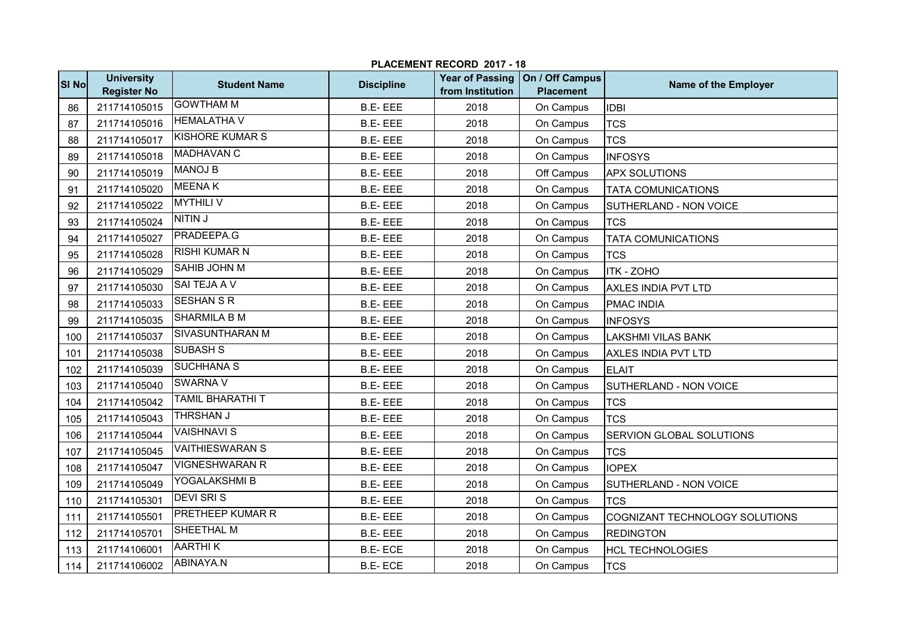|              | PLACEMENT RECORD 2017 - 18              |                         |                   |                                            |                                     |                                |  |  |
|--------------|-----------------------------------------|-------------------------|-------------------|--------------------------------------------|-------------------------------------|--------------------------------|--|--|
| <b>SI No</b> | <b>University</b><br><b>Register No</b> | <b>Student Name</b>     | <b>Discipline</b> | <b>Year of Passing</b><br>from Institution | On / Off Campus<br><b>Placement</b> | Name of the Employer           |  |  |
| 86           | 211714105015                            | <b>GOWTHAM M</b>        | <b>B.E-EEE</b>    | 2018                                       | On Campus                           | <b>IDBI</b>                    |  |  |
| 87           | 211714105016                            | <b>HEMALATHA V</b>      | <b>B.E-EEE</b>    | 2018                                       | On Campus                           | <b>TCS</b>                     |  |  |
| 88           | 211714105017                            | <b>KISHORE KUMAR S</b>  | <b>B.E-EEE</b>    | 2018                                       | On Campus                           | <b>TCS</b>                     |  |  |
| 89           | 211714105018                            | <b>MADHAVAN C</b>       | <b>B.E-EEE</b>    | 2018                                       | On Campus                           | <b>INFOSYS</b>                 |  |  |
| 90           | 211714105019                            | <b>MANOJ B</b>          | <b>B.E-EEE</b>    | 2018                                       | Off Campus                          | <b>APX SOLUTIONS</b>           |  |  |
| 91           | 211714105020                            | <b>MEENAK</b>           | <b>B.E-EEE</b>    | 2018                                       | On Campus                           | <b>TATA COMUNICATIONS</b>      |  |  |
| 92           | 211714105022                            | <b>MYTHILI V</b>        | <b>B.E-EEE</b>    | 2018                                       | On Campus                           | SUTHERLAND - NON VOICE         |  |  |
| 93           | 211714105024                            | NITIN J                 | <b>B.E-EEE</b>    | 2018                                       | On Campus                           | <b>TCS</b>                     |  |  |
| 94           | 211714105027                            | <b>PRADEEPA.G</b>       | <b>B.E-EEE</b>    | 2018                                       | On Campus                           | <b>TATA COMUNICATIONS</b>      |  |  |
| 95           | 211714105028                            | <b>RISHI KUMAR N</b>    | <b>B.E-EEE</b>    | 2018                                       | On Campus                           | <b>TCS</b>                     |  |  |
| 96           | 211714105029                            | <b>SAHIB JOHN M</b>     | <b>B.E-EEE</b>    | 2018                                       | On Campus                           | <b>ITK - ZOHO</b>              |  |  |
| 97           | 211714105030                            | SAI TEJA A V            | <b>B.E-EEE</b>    | 2018                                       | On Campus                           | <b>AXLES INDIA PVT LTD</b>     |  |  |
| 98           | 211714105033                            | <b>SESHAN S R</b>       | <b>B.E-EEE</b>    | 2018                                       | On Campus                           | <b>PMAC INDIA</b>              |  |  |
| 99           | 211714105035                            | <b>SHARMILA B M</b>     | <b>B.E-EEE</b>    | 2018                                       | On Campus                           | <b>INFOSYS</b>                 |  |  |
| 100          | 211714105037                            | <b>SIVASUNTHARAN M</b>  | <b>B.E-EEE</b>    | 2018                                       | On Campus                           | <b>LAKSHMI VILAS BANK</b>      |  |  |
| 101          | 211714105038                            | <b>SUBASH S</b>         | <b>B.E-EEE</b>    | 2018                                       | On Campus                           | AXLES INDIA PVT LTD            |  |  |
| 102          | 211714105039                            | <b>SUCHHANA S</b>       | <b>B.E-EEE</b>    | 2018                                       | On Campus                           | <b>ELAIT</b>                   |  |  |
| 103          | 211714105040                            | <b>SWARNA V</b>         | <b>B.E-EEE</b>    | 2018                                       | On Campus                           | SUTHERLAND - NON VOICE         |  |  |
| 104          | 211714105042                            | <b>TAMIL BHARATHI T</b> | <b>B.E-EEE</b>    | 2018                                       | On Campus                           | <b>TCS</b>                     |  |  |
| 105          | 211714105043                            | <b>THRSHAN J</b>        | <b>B.E-EEE</b>    | 2018                                       | On Campus                           | <b>TCS</b>                     |  |  |
| 106          | 211714105044                            | <b>VAISHNAVI S</b>      | <b>B.E-EEE</b>    | 2018                                       | On Campus                           | SERVION GLOBAL SOLUTIONS       |  |  |
| 107          | 211714105045                            | <b>VAITHIESWARAN S</b>  | <b>B.E-EEE</b>    | 2018                                       | On Campus                           | <b>TCS</b>                     |  |  |
| 108          | 211714105047                            | <b>VIGNESHWARAN R</b>   | <b>B.E-EEE</b>    | 2018                                       | On Campus                           | <b>IOPEX</b>                   |  |  |
| 109          | 211714105049                            | YOGALAKSHMI B           | <b>B.E-EEE</b>    | 2018                                       | On Campus                           | SUTHERLAND - NON VOICE         |  |  |
| 110          | 211714105301                            | <b>DEVI SRIS</b>        | <b>B.E-EEE</b>    | 2018                                       | On Campus                           | <b>TCS</b>                     |  |  |
| 111          | 211714105501                            | <b>PRETHEEP KUMAR R</b> | <b>B.E-EEE</b>    | 2018                                       | On Campus                           | COGNIZANT TECHNOLOGY SOLUTIONS |  |  |
| 112          | 211714105701                            | SHEETHAL M              | <b>B.E-EEE</b>    | 2018                                       | On Campus                           | <b>REDINGTON</b>               |  |  |
| 113          | 211714106001                            | <b>AARTHIK</b>          | <b>B.E-ECE</b>    | 2018                                       | On Campus                           | <b>HCL TECHNOLOGIES</b>        |  |  |
| 114          | 211714106002                            | ABINAYA.N               | <b>B.E-ECE</b>    | 2018                                       | On Campus                           | <b>TCS</b>                     |  |  |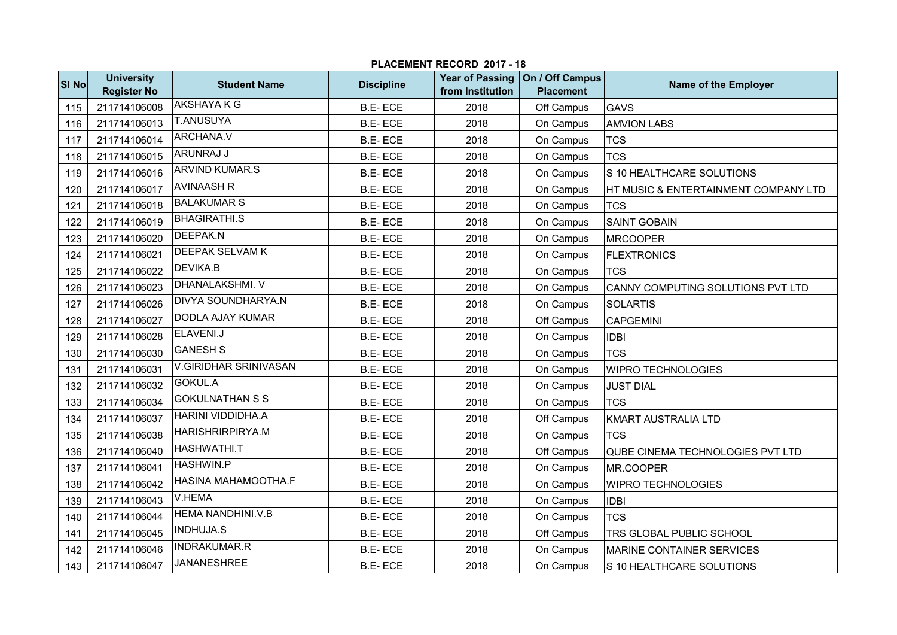|              | PLACEMENT RECORD 2017 - 18              |                              |                   |                                            |                                     |                                      |  |  |
|--------------|-----------------------------------------|------------------------------|-------------------|--------------------------------------------|-------------------------------------|--------------------------------------|--|--|
| <b>SI No</b> | <b>University</b><br><b>Register No</b> | <b>Student Name</b>          | <b>Discipline</b> | <b>Year of Passing</b><br>from Institution | On / Off Campus<br><b>Placement</b> | Name of the Employer                 |  |  |
| 115          | 211714106008                            | <b>AKSHAYA K G</b>           | <b>B.E-ECE</b>    | 2018                                       | Off Campus                          | <b>GAVS</b>                          |  |  |
| 116          | 211714106013                            | <b>T.ANUSUYA</b>             | <b>B.E-ECE</b>    | 2018                                       | On Campus                           | <b>AMVION LABS</b>                   |  |  |
| 117          | 211714106014                            | <b>ARCHANA.V</b>             | <b>B.E-ECE</b>    | 2018                                       | On Campus                           | <b>TCS</b>                           |  |  |
| 118          | 211714106015                            | ARUNRAJ J                    | <b>B.E-ECE</b>    | 2018                                       | On Campus                           | <b>TCS</b>                           |  |  |
| 119          | 211714106016                            | <b>ARVIND KUMAR.S</b>        | <b>B.E-ECE</b>    | 2018                                       | On Campus                           | S 10 HEALTHCARE SOLUTIONS            |  |  |
| 120          | 211714106017                            | <b>AVINAASH R</b>            | <b>B.E-ECE</b>    | 2018                                       | On Campus                           | HT MUSIC & ENTERTAINMENT COMPANY LTD |  |  |
| 121          | 211714106018                            | <b>BALAKUMAR S</b>           | <b>B.E-ECE</b>    | 2018                                       | On Campus                           | <b>TCS</b>                           |  |  |
| 122          | 211714106019                            | <b>BHAGIRATHI.S</b>          | <b>B.E-ECE</b>    | 2018                                       | On Campus                           | <b>SAINT GOBAIN</b>                  |  |  |
| 123          | 211714106020                            | <b>DEEPAK.N</b>              | <b>B.E-ECE</b>    | 2018                                       | On Campus                           | <b>MRCOOPER</b>                      |  |  |
| 124          | 211714106021                            | <b>DEEPAK SELVAM K</b>       | <b>B.E-ECE</b>    | 2018                                       | On Campus                           | <b>FLEXTRONICS</b>                   |  |  |
| 125          | 211714106022                            | <b>DEVIKA.B</b>              | <b>B.E-ECE</b>    | 2018                                       | On Campus                           | <b>TCS</b>                           |  |  |
| 126          | 211714106023                            | <b>DHANALAKSHMI. V</b>       | <b>B.E-ECE</b>    | 2018                                       | On Campus                           | CANNY COMPUTING SOLUTIONS PVT LTD    |  |  |
| 127          | 211714106026                            | <b>DIVYA SOUNDHARYA.N</b>    | <b>B.E-ECE</b>    | 2018                                       | On Campus                           | <b>SOLARTIS</b>                      |  |  |
| 128          | 211714106027                            | <b>DODLA AJAY KUMAR</b>      | <b>B.E-ECE</b>    | 2018                                       | Off Campus                          | <b>CAPGEMINI</b>                     |  |  |
| 129          | 211714106028                            | ELAVENI.J                    | <b>B.E-ECE</b>    | 2018                                       | On Campus                           | <b>IDBI</b>                          |  |  |
| 130          | 211714106030                            | <b>GANESH S</b>              | <b>B.E-ECE</b>    | 2018                                       | On Campus                           | <b>TCS</b>                           |  |  |
| 131          | 211714106031                            | <b>V.GIRIDHAR SRINIVASAN</b> | <b>B.E-ECE</b>    | 2018                                       | On Campus                           | <b>WIPRO TECHNOLOGIES</b>            |  |  |
| 132          | 211714106032                            | <b>GOKUL.A</b>               | <b>B.E-ECE</b>    | 2018                                       | On Campus                           | <b>JUST DIAL</b>                     |  |  |
| 133          | 211714106034                            | <b>GOKULNATHAN S S</b>       | <b>B.E-ECE</b>    | 2018                                       | On Campus                           | <b>TCS</b>                           |  |  |
| 134          | 211714106037                            | <b>HARINI VIDDIDHA.A</b>     | <b>B.E-ECE</b>    | 2018                                       | Off Campus                          | KMART AUSTRALIA LTD                  |  |  |
| 135          | 211714106038                            | <b>HARISHRIRPIRYA.M</b>      | <b>B.E-ECE</b>    | 2018                                       | On Campus                           | <b>TCS</b>                           |  |  |
| 136          | 211714106040                            | HASHWATHI.T                  | <b>B.E-ECE</b>    | 2018                                       | Off Campus                          | QUBE CINEMA TECHNOLOGIES PVT LTD     |  |  |
| 137          | 211714106041                            | <b>HASHWIN.P</b>             | <b>B.E-ECE</b>    | 2018                                       | On Campus                           | MR.COOPER                            |  |  |
| 138          | 211714106042                            | HASINA MAHAMOOTHA.F          | <b>B.E-ECE</b>    | 2018                                       | On Campus                           | <b>WIPRO TECHNOLOGIES</b>            |  |  |
| 139          | 211714106043                            | <b>V.HEMA</b>                | <b>B.E-ECE</b>    | 2018                                       | On Campus                           | <b>IDBI</b>                          |  |  |
| 140          | 211714106044                            | <b>HEMA NANDHINI.V.B</b>     | <b>B.E-ECE</b>    | 2018                                       | On Campus                           | <b>TCS</b>                           |  |  |
| 141          | 211714106045                            | <b>INDHUJA.S</b>             | <b>B.E-ECE</b>    | 2018                                       | Off Campus                          | TRS GLOBAL PUBLIC SCHOOL             |  |  |
| 142          | 211714106046                            | <b>INDRAKUMAR.R</b>          | <b>B.E-ECE</b>    | 2018                                       | On Campus                           | MARINE CONTAINER SERVICES            |  |  |
| 143          | 211714106047                            | <b>JANANESHREE</b>           | <b>B.E-ECE</b>    | 2018                                       | On Campus                           | S 10 HEALTHCARE SOLUTIONS            |  |  |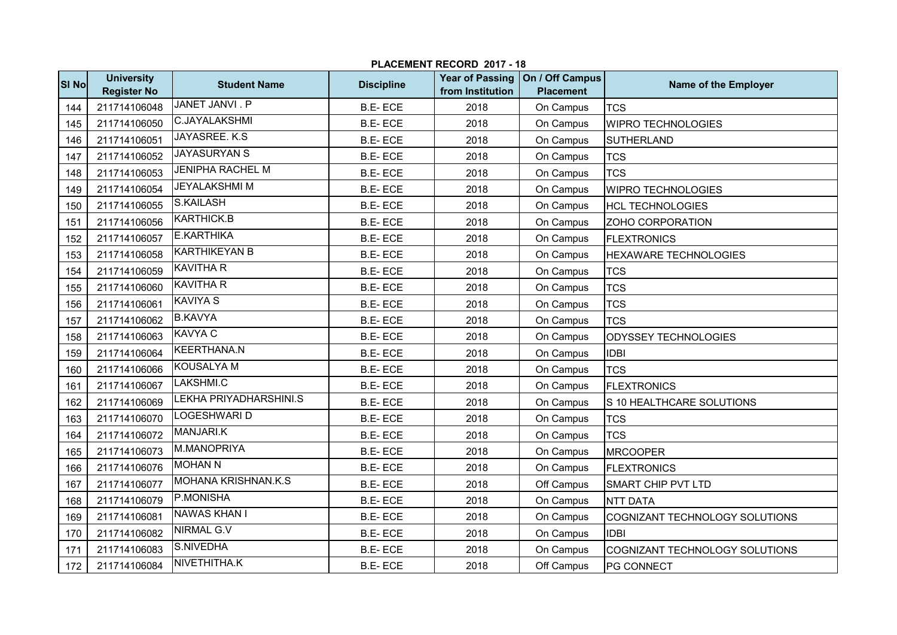|                  | PLACEMENT RECORD 2017 - 18              |                         |                   |                  |                                                       |                                |  |  |
|------------------|-----------------------------------------|-------------------------|-------------------|------------------|-------------------------------------------------------|--------------------------------|--|--|
| SI <sub>No</sub> | <b>University</b><br><b>Register No</b> | <b>Student Name</b>     | <b>Discipline</b> | from Institution | Year of Passing   On / Off Campus<br><b>Placement</b> | Name of the Employer           |  |  |
| 144              | 211714106048                            | <b>JANET JANVI. P</b>   | <b>B.E-ECE</b>    | 2018             | On Campus                                             | <b>TCS</b>                     |  |  |
| 145              | 211714106050                            | <b>C.JAYALAKSHMI</b>    | <b>B.E-ECE</b>    | 2018             | On Campus                                             | <b>WIPRO TECHNOLOGIES</b>      |  |  |
| 146              | 211714106051                            | JAYASREE. K.S.          | <b>B.E-ECE</b>    | 2018             | On Campus                                             | <b>SUTHERLAND</b>              |  |  |
| 147              | 211714106052                            | <b>JAYASURYAN S</b>     | <b>B.E-ECE</b>    | 2018             | On Campus                                             | <b>TCS</b>                     |  |  |
| 148              | 211714106053                            | <b>JENIPHA RACHEL M</b> | <b>B.E-ECE</b>    | 2018             | On Campus                                             | <b>TCS</b>                     |  |  |
| 149              | 211714106054                            | <b>JEYALAKSHMIM</b>     | <b>B.E-ECE</b>    | 2018             | On Campus                                             | <b>WIPRO TECHNOLOGIES</b>      |  |  |
| 150              | 211714106055                            | S.KAILASH               | <b>B.E-ECE</b>    | 2018             | On Campus                                             | <b>HCL TECHNOLOGIES</b>        |  |  |
| 151              | 211714106056                            | KARTHICK.B              | <b>B.E-ECE</b>    | 2018             | On Campus                                             | ZOHO CORPORATION               |  |  |
| 152              | 211714106057                            | <b>E.KARTHIKA</b>       | <b>B.E-ECE</b>    | 2018             | On Campus                                             | <b>FLEXTRONICS</b>             |  |  |
| 153              | 211714106058                            | <b>KARTHIKEYAN B</b>    | <b>B.E-ECE</b>    | 2018             | On Campus                                             | <b>HEXAWARE TECHNOLOGIES</b>   |  |  |
| 154              | 211714106059                            | <b>KAVITHA R</b>        | <b>B.E-ECE</b>    | 2018             | On Campus                                             | <b>TCS</b>                     |  |  |
| 155              | 211714106060                            | <b>KAVITHA R</b>        | <b>B.E-ECE</b>    | 2018             | On Campus                                             | <b>TCS</b>                     |  |  |
| 156              | 211714106061                            | <b>KAVIYA S</b>         | <b>B.E-ECE</b>    | 2018             | On Campus                                             | <b>TCS</b>                     |  |  |
| 157              | 211714106062                            | <b>B.KAVYA</b>          | <b>B.E-ECE</b>    | 2018             | On Campus                                             | <b>TCS</b>                     |  |  |
| 158              | 211714106063                            | <b>KAVYA C</b>          | <b>B.E-ECE</b>    | 2018             | On Campus                                             | ODYSSEY TECHNOLOGIES           |  |  |
| 159              | 211714106064                            | KEERTHANA.N             | <b>B.E-ECE</b>    | 2018             | On Campus                                             | <b>IDBI</b>                    |  |  |
| 160              | 211714106066                            | <b>KOUSALYA M</b>       | <b>B.E-ECE</b>    | 2018             | On Campus                                             | <b>TCS</b>                     |  |  |
| 161              | 211714106067                            | LAKSHMI.C               | <b>B.E-ECE</b>    | 2018             | On Campus                                             | <b>FLEXTRONICS</b>             |  |  |
| 162              | 211714106069                            | LEKHA PRIYADHARSHINI.S  | <b>B.E-ECE</b>    | 2018             | On Campus                                             | S 10 HEALTHCARE SOLUTIONS      |  |  |
| 163              | 211714106070                            | LOGESHWARI D            | <b>B.E-ECE</b>    | 2018             | On Campus                                             | <b>TCS</b>                     |  |  |
| 164              | 211714106072                            | MANJARI.K               | <b>B.E-ECE</b>    | 2018             | On Campus                                             | <b>TCS</b>                     |  |  |
| 165              | 211714106073                            | M.MANOPRIYA             | <b>B.E-ECE</b>    | 2018             | On Campus                                             | <b>MRCOOPER</b>                |  |  |
| 166              | 211714106076                            | <b>MOHAN N</b>          | <b>B.E-ECE</b>    | 2018             | On Campus                                             | <b>FLEXTRONICS</b>             |  |  |
| 167              | 211714106077                            | MOHANA KRISHNAN.K.S     | <b>B.E-ECE</b>    | 2018             | Off Campus                                            | <b>SMART CHIP PVT LTD</b>      |  |  |
| 168              | 211714106079                            | P.MONISHA               | <b>B.E-ECE</b>    | 2018             | On Campus                                             | <b>NTT DATA</b>                |  |  |
| 169              | 211714106081                            | <b>NAWAS KHAN I</b>     | <b>B.E-ECE</b>    | 2018             | On Campus                                             | COGNIZANT TECHNOLOGY SOLUTIONS |  |  |
| 170              | 211714106082                            | <b>NIRMAL G.V</b>       | <b>B.E-ECE</b>    | 2018             | On Campus                                             | <b>IDBI</b>                    |  |  |
| 171              | 211714106083                            | S.NIVEDHA               | <b>B.E-ECE</b>    | 2018             | On Campus                                             | COGNIZANT TECHNOLOGY SOLUTIONS |  |  |
| 172              | 211714106084                            | NIVETHITHA.K            | <b>B.E-ECE</b>    | 2018             | Off Campus                                            | PG CONNECT                     |  |  |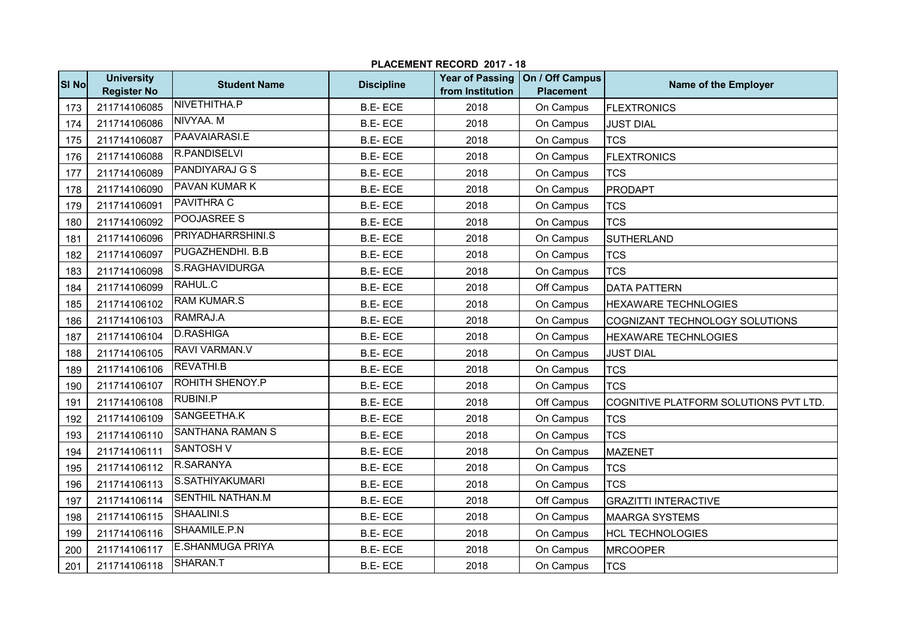|              | PLACEMENT RECORD 2017 - 18              |                          |                   |                                            |                                     |                                       |  |  |
|--------------|-----------------------------------------|--------------------------|-------------------|--------------------------------------------|-------------------------------------|---------------------------------------|--|--|
| <b>SI No</b> | <b>University</b><br><b>Register No</b> | <b>Student Name</b>      | <b>Discipline</b> | <b>Year of Passing</b><br>from Institution | On / Off Campus<br><b>Placement</b> | Name of the Employer                  |  |  |
| 173          | 211714106085                            | NIVETHITHA.P             | <b>B.E-ECE</b>    | 2018                                       | On Campus                           | <b>FLEXTRONICS</b>                    |  |  |
| 174          | 211714106086                            | NIVYAA. M                | <b>B.E-ECE</b>    | 2018                                       | On Campus                           | <b>JUST DIAL</b>                      |  |  |
| 175          | 211714106087                            | PAAVAIARASI.E            | <b>B.E-ECE</b>    | 2018                                       | On Campus                           | <b>TCS</b>                            |  |  |
| 176          | 211714106088                            | R.PANDISELVI             | <b>B.E-ECE</b>    | 2018                                       | On Campus                           | <b>FLEXTRONICS</b>                    |  |  |
| 177          | 211714106089                            | <b>PANDIYARAJ G S</b>    | <b>B.E-ECE</b>    | 2018                                       | On Campus                           | <b>TCS</b>                            |  |  |
| 178          | 211714106090                            | <b>PAVAN KUMAR K</b>     | <b>B.E-ECE</b>    | 2018                                       | On Campus                           | <b>PRODAPT</b>                        |  |  |
| 179          | 211714106091                            | PAVITHRA C               | <b>B.E-ECE</b>    | 2018                                       | On Campus                           | <b>TCS</b>                            |  |  |
| 180          | 211714106092                            | POOJASREE S              | <b>B.E-ECE</b>    | 2018                                       | On Campus                           | <b>TCS</b>                            |  |  |
| 181          | 211714106096                            | <b>PRIYADHARRSHINI.S</b> | <b>B.E-ECE</b>    | 2018                                       | On Campus                           | <b>SUTHERLAND</b>                     |  |  |
| 182          | 211714106097                            | PUGAZHENDHI. B.B         | <b>B.E-ECE</b>    | 2018                                       | On Campus                           | <b>TCS</b>                            |  |  |
| 183          | 211714106098                            | S.RAGHAVIDURGA           | <b>B.E-ECE</b>    | 2018                                       | On Campus                           | <b>TCS</b>                            |  |  |
| 184          | 211714106099                            | RAHUL.C                  | <b>B.E-ECE</b>    | 2018                                       | Off Campus                          | <b>DATA PATTERN</b>                   |  |  |
| 185          | 211714106102                            | <b>RAM KUMAR.S</b>       | <b>B.E-ECE</b>    | 2018                                       | On Campus                           | <b>HEXAWARE TECHNLOGIES</b>           |  |  |
| 186          | 211714106103                            | RAMRAJ.A                 | <b>B.E-ECE</b>    | 2018                                       | On Campus                           | COGNIZANT TECHNOLOGY SOLUTIONS        |  |  |
| 187          | 211714106104                            | <b>D.RASHIGA</b>         | <b>B.E-ECE</b>    | 2018                                       | On Campus                           | <b>HEXAWARE TECHNLOGIES</b>           |  |  |
| 188          | 211714106105                            | RAVI VARMAN.V            | <b>B.E-ECE</b>    | 2018                                       | On Campus                           | <b>JUST DIAL</b>                      |  |  |
| 189          | 211714106106                            | <b>REVATHI.B</b>         | <b>B.E-ECE</b>    | 2018                                       | On Campus                           | <b>TCS</b>                            |  |  |
| 190          | 211714106107                            | ROHITH SHENOY.P          | <b>B.E-ECE</b>    | 2018                                       | On Campus                           | <b>TCS</b>                            |  |  |
| 191          | 211714106108                            | RUBINI.P                 | <b>B.E-ECE</b>    | 2018                                       | Off Campus                          | COGNITIVE PLATFORM SOLUTIONS PVT LTD. |  |  |
| 192          | 211714106109                            | SANGEETHA.K              | <b>B.E-ECE</b>    | 2018                                       | On Campus                           | <b>TCS</b>                            |  |  |
| 193          | 211714106110                            | <b>SANTHANA RAMAN S</b>  | <b>B.E-ECE</b>    | 2018                                       | On Campus                           | <b>TCS</b>                            |  |  |
| 194          | 211714106111                            | <b>SANTOSH V</b>         | <b>B.E-ECE</b>    | 2018                                       | On Campus                           | <b>MAZENET</b>                        |  |  |
| 195          | 211714106112                            | R.SARANYA                | <b>B.E-ECE</b>    | 2018                                       | On Campus                           | <b>TCS</b>                            |  |  |
| 196          | 211714106113                            | S.SATHIYAKUMARI          | <b>B.E-ECE</b>    | 2018                                       | On Campus                           | <b>TCS</b>                            |  |  |
| 197          | 211714106114                            | <b>SENTHIL NATHAN.M</b>  | <b>B.E-ECE</b>    | 2018                                       | Off Campus                          | <b>GRAZITTI INTERACTIVE</b>           |  |  |
| 198          | 211714106115                            | SHAALINI.S               | <b>B.E-ECE</b>    | 2018                                       | On Campus                           | <b>MAARGA SYSTEMS</b>                 |  |  |
| 199          | 211714106116                            | SHAAMILE.P.N             | <b>B.E-ECE</b>    | 2018                                       | On Campus                           | <b>HCL TECHNOLOGIES</b>               |  |  |
| 200          | 211714106117                            | <b>E.SHANMUGA PRIYA</b>  | <b>B.E-ECE</b>    | 2018                                       | On Campus                           | <b>MRCOOPER</b>                       |  |  |
| 201          | 211714106118                            | SHARAN.T                 | <b>B.E-ECE</b>    | 2018                                       | On Campus                           | <b>TCS</b>                            |  |  |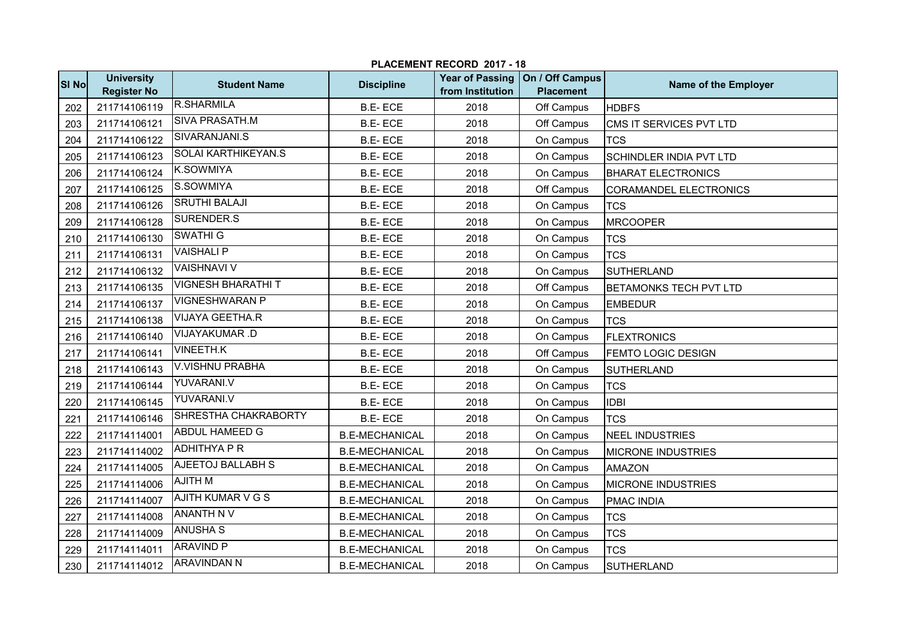|              |                                         |                            |                       | LAVEMENT REVORD ZUIT - 10 |                                                       |                                |
|--------------|-----------------------------------------|----------------------------|-----------------------|---------------------------|-------------------------------------------------------|--------------------------------|
| <b>SI No</b> | <b>University</b><br><b>Register No</b> | <b>Student Name</b>        | <b>Discipline</b>     | from Institution          | Year of Passing   On / Off Campus<br><b>Placement</b> | Name of the Employer           |
| 202          | 211714106119                            | <b>R.SHARMILA</b>          | <b>B.E-ECE</b>        | 2018                      | Off Campus                                            | <b>HDBFS</b>                   |
| 203          | 211714106121                            | <b>SIVA PRASATH.M</b>      | <b>B.E-ECE</b>        | 2018                      | Off Campus                                            | CMS IT SERVICES PVT LTD        |
| 204          | 211714106122                            | SIVARANJANI.S              | <b>B.E-ECE</b>        | 2018                      | On Campus                                             | <b>TCS</b>                     |
| 205          | 211714106123                            | <b>SOLAI KARTHIKEYAN.S</b> | <b>B.E-ECE</b>        | 2018                      | On Campus                                             | <b>SCHINDLER INDIA PVT LTD</b> |
| 206          | 211714106124                            | <b>K.SOWMIYA</b>           | <b>B.E-ECE</b>        | 2018                      | On Campus                                             | <b>BHARAT ELECTRONICS</b>      |
| 207          | 211714106125                            | S.SOWMIYA                  | <b>B.E-ECE</b>        | 2018                      | Off Campus                                            | CORAMANDEL ELECTRONICS         |
| 208          | 211714106126                            | <b>SRUTHI BALAJI</b>       | <b>B.E-ECE</b>        | 2018                      | On Campus                                             | <b>TCS</b>                     |
| 209          | 211714106128                            | SURENDER.S                 | <b>B.E-ECE</b>        | 2018                      | On Campus                                             | <b>MRCOOPER</b>                |
| 210          | 211714106130                            | <b>SWATHI G</b>            | <b>B.E-ECE</b>        | 2018                      | On Campus                                             | <b>TCS</b>                     |
| 211          | 211714106131                            | <b>VAISHALI P</b>          | <b>B.E-ECE</b>        | 2018                      | On Campus                                             | <b>TCS</b>                     |
| 212          | 211714106132                            | <b>VAISHNAVI V</b>         | <b>B.E-ECE</b>        | 2018                      | On Campus                                             | <b>SUTHERLAND</b>              |
| 213          | 211714106135                            | <b>VIGNESH BHARATHIT</b>   | <b>B.E-ECE</b>        | 2018                      | Off Campus                                            | <b>BETAMONKS TECH PVT LTD</b>  |
| 214          | 211714106137                            | <b>VIGNESHWARAN P</b>      | <b>B.E-ECE</b>        | 2018                      | On Campus                                             | <b>EMBEDUR</b>                 |
| 215          | 211714106138                            | VIJAYA GEETHA.R            | <b>B.E-ECE</b>        | 2018                      | On Campus                                             | <b>TCS</b>                     |
| 216          | 211714106140                            | VIJAYAKUMAR.D              | <b>B.E-ECE</b>        | 2018                      | On Campus                                             | <b>FLEXTRONICS</b>             |
| 217          | 211714106141                            | <b>VINEETH.K</b>           | <b>B.E-ECE</b>        | 2018                      | Off Campus                                            | FEMTO LOGIC DESIGN             |
| 218          | 211714106143                            | V.VISHNU PRABHA            | <b>B.E-ECE</b>        | 2018                      | On Campus                                             | <b>SUTHERLAND</b>              |
| 219          | 211714106144                            | YUVARANI.V                 | <b>B.E-ECE</b>        | 2018                      | On Campus                                             | <b>TCS</b>                     |
| 220          | 211714106145                            | YUVARANI.V                 | <b>B.E-ECE</b>        | 2018                      | On Campus                                             | <b>IDBI</b>                    |
| 221          | 211714106146                            | SHRESTHA CHAKRABORTY       | <b>B.E-ECE</b>        | 2018                      | On Campus                                             | <b>TCS</b>                     |
| 222          | 211714114001                            | ABDUL HAMEED G             | <b>B.E-MECHANICAL</b> | 2018                      | On Campus                                             | <b>NEEL INDUSTRIES</b>         |
| 223          | 211714114002                            | <b>ADHITHYA P R</b>        | <b>B.E-MECHANICAL</b> | 2018                      | On Campus                                             | <b>MICRONE INDUSTRIES</b>      |
| 224          | 211714114005                            | AJEETOJ BALLABH S          | <b>B.E-MECHANICAL</b> | 2018                      | On Campus                                             | <b>AMAZON</b>                  |
| 225          | 211714114006                            | <b>AJITH M</b>             | <b>B.E-MECHANICAL</b> | 2018                      | On Campus                                             | <b>MICRONE INDUSTRIES</b>      |
| 226          | 211714114007                            | AJITH KUMAR V G S          | <b>B.E-MECHANICAL</b> | 2018                      | On Campus                                             | <b>PMAC INDIA</b>              |
| 227          | 211714114008                            | <b>ANANTH N V</b>          | <b>B.E-MECHANICAL</b> | 2018                      | On Campus                                             | <b>TCS</b>                     |
| 228          | 211714114009                            | <b>ANUSHA S</b>            | <b>B.E-MECHANICAL</b> | 2018                      | On Campus                                             | <b>TCS</b>                     |
| 229          | 211714114011                            | <b>ARAVIND P</b>           | <b>B.E-MECHANICAL</b> | 2018                      | On Campus                                             | <b>TCS</b>                     |
| 230          | 211714114012                            | <b>ARAVINDAN N</b>         | <b>B.E-MECHANICAL</b> | 2018                      | On Campus                                             | <b>SUTHERLAND</b>              |

## **PLACEMENT RECORD 2017 - 18**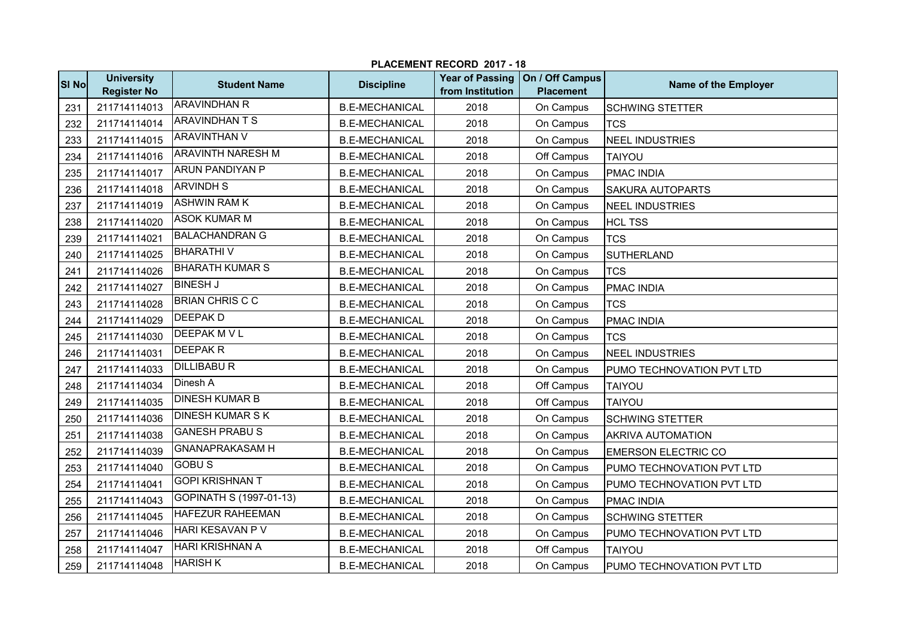|       | PLACEMENT RECORD 2017 - 18              |                          |                       |                                            |                                     |                            |  |  |  |
|-------|-----------------------------------------|--------------------------|-----------------------|--------------------------------------------|-------------------------------------|----------------------------|--|--|--|
| SI No | <b>University</b><br><b>Register No</b> | <b>Student Name</b>      | <b>Discipline</b>     | <b>Year of Passing</b><br>from Institution | On / Off Campus<br><b>Placement</b> | Name of the Employer       |  |  |  |
| 231   | 211714114013                            | <b>ARAVINDHAN R</b>      | <b>B.E-MECHANICAL</b> | 2018                                       | On Campus                           | <b>SCHWING STETTER</b>     |  |  |  |
| 232   | 211714114014                            | <b>ARAVINDHAN T S</b>    | <b>B.E-MECHANICAL</b> | 2018                                       | On Campus                           | <b>TCS</b>                 |  |  |  |
| 233   | 211714114015                            | <b>ARAVINTHAN V</b>      | <b>B.E-MECHANICAL</b> | 2018                                       | On Campus                           | <b>NEEL INDUSTRIES</b>     |  |  |  |
| 234   | 211714114016                            | <b>ARAVINTH NARESH M</b> | <b>B.E-MECHANICAL</b> | 2018                                       | Off Campus                          | <b>TAIYOU</b>              |  |  |  |
| 235   | 211714114017                            | <b>ARUN PANDIYAN P</b>   | <b>B.E-MECHANICAL</b> | 2018                                       | On Campus                           | <b>PMAC INDIA</b>          |  |  |  |
| 236   | 211714114018                            | <b>ARVINDHS</b>          | <b>B.E-MECHANICAL</b> | 2018                                       | On Campus                           | <b>SAKURA AUTOPARTS</b>    |  |  |  |
| 237   | 211714114019                            | <b>ASHWIN RAM K</b>      | <b>B.E-MECHANICAL</b> | 2018                                       | On Campus                           | NEEL INDUSTRIES            |  |  |  |
| 238   | 211714114020                            | <b>ASOK KUMAR M</b>      | <b>B.E-MECHANICAL</b> | 2018                                       | On Campus                           | <b>HCL TSS</b>             |  |  |  |
| 239   | 211714114021                            | <b>BALACHANDRAN G</b>    | <b>B.E-MECHANICAL</b> | 2018                                       | On Campus                           | <b>TCS</b>                 |  |  |  |
| 240   | 211714114025                            | <b>BHARATHIV</b>         | <b>B.E-MECHANICAL</b> | 2018                                       | On Campus                           | <b>SUTHERLAND</b>          |  |  |  |
| 241   | 211714114026                            | <b>BHARATH KUMAR S</b>   | <b>B.E-MECHANICAL</b> | 2018                                       | On Campus                           | <b>TCS</b>                 |  |  |  |
| 242   | 211714114027                            | <b>BINESH J</b>          | <b>B.E-MECHANICAL</b> | 2018                                       | On Campus                           | <b>PMAC INDIA</b>          |  |  |  |
| 243   | 211714114028                            | <b>BRIAN CHRIS C C</b>   | <b>B.E-MECHANICAL</b> | 2018                                       | On Campus                           | <b>TCS</b>                 |  |  |  |
| 244   | 211714114029                            | <b>DEEPAKD</b>           | <b>B.E-MECHANICAL</b> | 2018                                       | On Campus                           | <b>PMAC INDIA</b>          |  |  |  |
| 245   | 211714114030                            | <b>DEEPAK M V L</b>      | <b>B.E-MECHANICAL</b> | 2018                                       | On Campus                           | <b>TCS</b>                 |  |  |  |
| 246   | 211714114031                            | <b>DEEPAKR</b>           | <b>B.E-MECHANICAL</b> | 2018                                       | On Campus                           | <b>NEEL INDUSTRIES</b>     |  |  |  |
| 247   | 211714114033                            | <b>DILLIBABU R</b>       | <b>B.E-MECHANICAL</b> | 2018                                       | On Campus                           | PUMO TECHNOVATION PVT LTD  |  |  |  |
| 248   | 211714114034                            | Dinesh A                 | <b>B.E-MECHANICAL</b> | 2018                                       | Off Campus                          | TAIYOU                     |  |  |  |
| 249   | 211714114035                            | <b>DINESH KUMAR B</b>    | <b>B.E-MECHANICAL</b> | 2018                                       | Off Campus                          | <b>TAIYOU</b>              |  |  |  |
| 250   | 211714114036                            | <b>DINESH KUMAR S K</b>  | <b>B.E-MECHANICAL</b> | 2018                                       | On Campus                           | <b>SCHWING STETTER</b>     |  |  |  |
| 251   | 211714114038                            | <b>GANESH PRABUS</b>     | <b>B.E-MECHANICAL</b> | 2018                                       | On Campus                           | <b>AKRIVA AUTOMATION</b>   |  |  |  |
| 252   | 211714114039                            | <b>GNANAPRAKASAM H</b>   | <b>B.E-MECHANICAL</b> | 2018                                       | On Campus                           | <b>EMERSON ELECTRIC CO</b> |  |  |  |
| 253   | 211714114040                            | <b>GOBUS</b>             | <b>B.E-MECHANICAL</b> | 2018                                       | On Campus                           | PUMO TECHNOVATION PVT LTD  |  |  |  |
| 254   | 211714114041                            | <b>GOPI KRISHNAN T</b>   | <b>B.E-MECHANICAL</b> | 2018                                       | On Campus                           | PUMO TECHNOVATION PVT LTD  |  |  |  |
| 255   | 211714114043                            | GOPINATH S (1997-01-13)  | <b>B.E-MECHANICAL</b> | 2018                                       | On Campus                           | <b>PMAC INDIA</b>          |  |  |  |
| 256   | 211714114045                            | HAFEZUR RAHEEMAN         | <b>B.E-MECHANICAL</b> | 2018                                       | On Campus                           | <b>SCHWING STETTER</b>     |  |  |  |
| 257   | 211714114046                            | <b>HARI KESAVAN P V</b>  | <b>B.E-MECHANICAL</b> | 2018                                       | On Campus                           | PUMO TECHNOVATION PVT LTD  |  |  |  |
| 258   | 211714114047                            | <b>HARI KRISHNAN A</b>   | <b>B.E-MECHANICAL</b> | 2018                                       | Off Campus                          | TAIYOU                     |  |  |  |
| 259   | 211714114048                            | <b>HARISH K</b>          | <b>B.E-MECHANICAL</b> | 2018                                       | On Campus                           | PUMO TECHNOVATION PVT LTD  |  |  |  |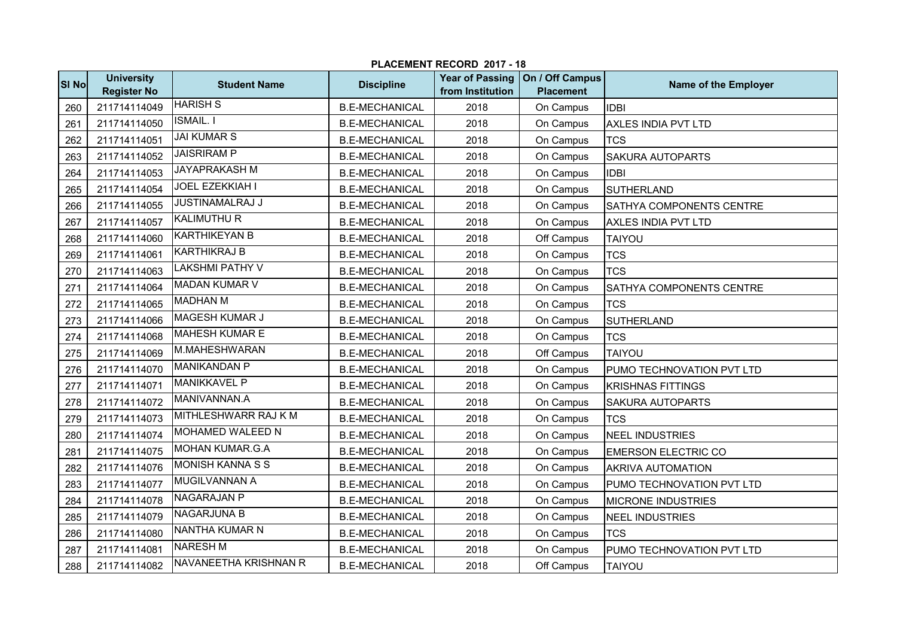|              | PLACEMENT RECORD 2017 - 18              |                         |                       |                                            |                                     |                            |  |  |  |
|--------------|-----------------------------------------|-------------------------|-----------------------|--------------------------------------------|-------------------------------------|----------------------------|--|--|--|
| <b>SI No</b> | <b>University</b><br><b>Register No</b> | <b>Student Name</b>     | <b>Discipline</b>     | <b>Year of Passing</b><br>from Institution | On / Off Campus<br><b>Placement</b> | Name of the Employer       |  |  |  |
| 260          | 211714114049                            | <b>HARISH S</b>         | <b>B.E-MECHANICAL</b> | 2018                                       | On Campus                           | <b>IDBI</b>                |  |  |  |
| 261          | 211714114050                            | <b>ISMAIL.</b> I        | <b>B.E-MECHANICAL</b> | 2018                                       | On Campus                           | AXLES INDIA PVT LTD        |  |  |  |
| 262          | 211714114051                            | <b>JAI KUMAR S</b>      | <b>B.E-MECHANICAL</b> | 2018                                       | On Campus                           | <b>TCS</b>                 |  |  |  |
| 263          | 211714114052                            | <b>JAISRIRAM P</b>      | <b>B.E-MECHANICAL</b> | 2018                                       | On Campus                           | <b>SAKURA AUTOPARTS</b>    |  |  |  |
| 264          | 211714114053                            | <b>JAYAPRAKASH M</b>    | <b>B.E-MECHANICAL</b> | 2018                                       | On Campus                           | <b>I</b> IDBI              |  |  |  |
| 265          | 211714114054                            | <b>JOEL EZEKKIAH I</b>  | <b>B.E-MECHANICAL</b> | 2018                                       | On Campus                           | <b>SUTHERLAND</b>          |  |  |  |
| 266          | 211714114055                            | <b>JUSTINAMALRAJ J</b>  | <b>B.E-MECHANICAL</b> | 2018                                       | On Campus                           | SATHYA COMPONENTS CENTRE   |  |  |  |
| 267          | 211714114057                            | <b>KALIMUTHU R</b>      | <b>B.E-MECHANICAL</b> | 2018                                       | On Campus                           | AXLES INDIA PVT LTD        |  |  |  |
| 268          | 211714114060                            | <b>KARTHIKEYAN B</b>    | <b>B.E-MECHANICAL</b> | 2018                                       | Off Campus                          | <b>TAIYOU</b>              |  |  |  |
| 269          | 211714114061                            | <b>KARTHIKRAJ B</b>     | <b>B.E-MECHANICAL</b> | 2018                                       | On Campus                           | <b>TCS</b>                 |  |  |  |
| 270          | 211714114063                            | <b>LAKSHMI PATHY V</b>  | <b>B.E-MECHANICAL</b> | 2018                                       | On Campus                           | <b>TCS</b>                 |  |  |  |
| 271          | 211714114064                            | <b>MADAN KUMAR V</b>    | <b>B.E-MECHANICAL</b> | 2018                                       | On Campus                           | SATHYA COMPONENTS CENTRE   |  |  |  |
| 272          | 211714114065                            | <b>MADHAN M</b>         | <b>B.E-MECHANICAL</b> | 2018                                       | On Campus                           | <b>TCS</b>                 |  |  |  |
| 273          | 211714114066                            | <b>MAGESH KUMAR J</b>   | <b>B.E-MECHANICAL</b> | 2018                                       | On Campus                           | <b>SUTHERLAND</b>          |  |  |  |
| 274          | 211714114068                            | <b>MAHESH KUMAR E</b>   | <b>B.E-MECHANICAL</b> | 2018                                       | On Campus                           | <b>TCS</b>                 |  |  |  |
| 275          | 211714114069                            | M.MAHESHWARAN           | <b>B.E-MECHANICAL</b> | 2018                                       | Off Campus                          | <b>TAIYOU</b>              |  |  |  |
| 276          | 211714114070                            | <b>MANIKANDAN P</b>     | <b>B.E-MECHANICAL</b> | 2018                                       | On Campus                           | PUMO TECHNOVATION PVT LTD  |  |  |  |
| 277          | 211714114071                            | <b>MANIKKAVEL P</b>     | <b>B.E-MECHANICAL</b> | 2018                                       | On Campus                           | <b>KRISHNAS FITTINGS</b>   |  |  |  |
| 278          | 211714114072                            | MANIVANNAN.A            | <b>B.E-MECHANICAL</b> | 2018                                       | On Campus                           | SAKURA AUTOPARTS           |  |  |  |
| 279          | 211714114073                            | MITHLESHWARR RAJ K M    | <b>B.E-MECHANICAL</b> | 2018                                       | On Campus                           | <b>TCS</b>                 |  |  |  |
| 280          | 211714114074                            | <b>MOHAMED WALEED N</b> | <b>B.E-MECHANICAL</b> | 2018                                       | On Campus                           | <b>NEEL INDUSTRIES</b>     |  |  |  |
| 281          | 211714114075                            | <b>MOHAN KUMAR.G.A</b>  | <b>B.E-MECHANICAL</b> | 2018                                       | On Campus                           | <b>EMERSON ELECTRIC CO</b> |  |  |  |
| 282          | 211714114076                            | MONISH KANNA S S        | <b>B.E-MECHANICAL</b> | 2018                                       | On Campus                           | <b>AKRIVA AUTOMATION</b>   |  |  |  |
| 283          | 211714114077                            | MUGILVANNAN A           | <b>B.E-MECHANICAL</b> | 2018                                       | On Campus                           | PUMO TECHNOVATION PVT LTD  |  |  |  |
| 284          | 211714114078                            | <b>NAGARAJAN P</b>      | <b>B.E-MECHANICAL</b> | 2018                                       | On Campus                           | <b>MICRONE INDUSTRIES</b>  |  |  |  |
| 285          | 211714114079                            | <b>NAGARJUNA B</b>      | <b>B.E-MECHANICAL</b> | 2018                                       | On Campus                           | NEEL INDUSTRIES            |  |  |  |
| 286          | 211714114080                            | NANTHA KUMAR N          | <b>B.E-MECHANICAL</b> | 2018                                       | On Campus                           | <b>TCS</b>                 |  |  |  |
| 287          | 211714114081                            | <b>NARESH M</b>         | <b>B.E-MECHANICAL</b> | 2018                                       | On Campus                           | PUMO TECHNOVATION PVT LTD  |  |  |  |
| 288          | 211714114082                            | NAVANEETHA KRISHNAN R   | <b>B.E-MECHANICAL</b> | 2018                                       | Off Campus                          | <b>TAIYOU</b>              |  |  |  |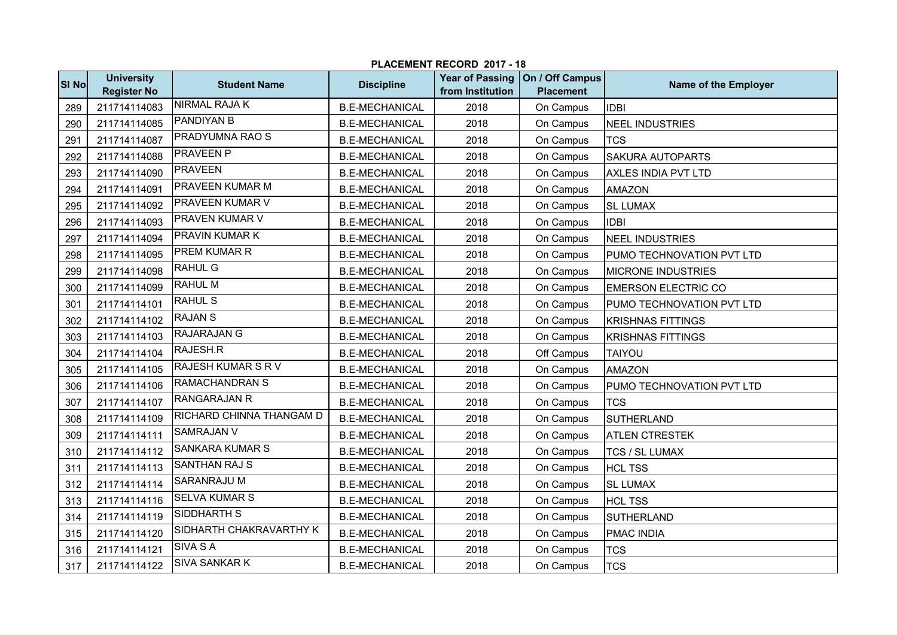|       | PLACEMENT RECORD 2017 - 18              |                           |                       |                                            |                                     |                            |  |  |
|-------|-----------------------------------------|---------------------------|-----------------------|--------------------------------------------|-------------------------------------|----------------------------|--|--|
| SI No | <b>University</b><br><b>Register No</b> | <b>Student Name</b>       | <b>Discipline</b>     | <b>Year of Passing</b><br>from Institution | On / Off Campus<br><b>Placement</b> | Name of the Employer       |  |  |
| 289   | 211714114083                            | <b>NIRMAL RAJA K</b>      | <b>B.E-MECHANICAL</b> | 2018                                       | On Campus                           | <b>IDBI</b>                |  |  |
| 290   | 211714114085                            | <b>PANDIYAN B</b>         | <b>B.E-MECHANICAL</b> | 2018                                       | On Campus                           | NEEL INDUSTRIES            |  |  |
| 291   | 211714114087                            | PRADYUMNA RAO S           | <b>B.E-MECHANICAL</b> | 2018                                       | On Campus                           | <b>TCS</b>                 |  |  |
| 292   | 211714114088                            | <b>PRAVEEN P</b>          | <b>B.E-MECHANICAL</b> | 2018                                       | On Campus                           | <b>SAKURA AUTOPARTS</b>    |  |  |
| 293   | 211714114090                            | <b>PRAVEEN</b>            | <b>B.E-MECHANICAL</b> | 2018                                       | On Campus                           | AXLES INDIA PVT LTD        |  |  |
| 294   | 211714114091                            | PRAVEEN KUMAR M           | <b>B.E-MECHANICAL</b> | 2018                                       | On Campus                           | <b>AMAZON</b>              |  |  |
| 295   | 211714114092                            | PRAVEEN KUMAR V           | <b>B.E-MECHANICAL</b> | 2018                                       | On Campus                           | <b>SL LUMAX</b>            |  |  |
| 296   | 211714114093                            | <b>PRAVEN KUMAR V</b>     | <b>B.E-MECHANICAL</b> | 2018                                       | On Campus                           | <b>IDBI</b>                |  |  |
| 297   | 211714114094                            | <b>PRAVIN KUMAR K</b>     | <b>B.E-MECHANICAL</b> | 2018                                       | On Campus                           | <b>NEEL INDUSTRIES</b>     |  |  |
| 298   | 211714114095                            | <b>PREM KUMAR R</b>       | <b>B.E-MECHANICAL</b> | 2018                                       | On Campus                           | PUMO TECHNOVATION PVT LTD  |  |  |
| 299   | 211714114098                            | <b>RAHUL G</b>            | <b>B.E-MECHANICAL</b> | 2018                                       | On Campus                           | <b>MICRONE INDUSTRIES</b>  |  |  |
| 300   | 211714114099                            | <b>RAHUL M</b>            | <b>B.E-MECHANICAL</b> | 2018                                       | On Campus                           | <b>EMERSON ELECTRIC CO</b> |  |  |
| 301   | 211714114101                            | <b>RAHUL S</b>            | <b>B.E-MECHANICAL</b> | 2018                                       | On Campus                           | PUMO TECHNOVATION PVT LTD  |  |  |
| 302   | 211714114102                            | <b>RAJAN S</b>            | <b>B.E-MECHANICAL</b> | 2018                                       | On Campus                           | <b>KRISHNAS FITTINGS</b>   |  |  |
| 303   | 211714114103                            | <b>RAJARAJAN G</b>        | <b>B.E-MECHANICAL</b> | 2018                                       | On Campus                           | <b>KRISHNAS FITTINGS</b>   |  |  |
| 304   | 211714114104                            | RAJESH.R                  | <b>B.E-MECHANICAL</b> | 2018                                       | Off Campus                          | <b>TAIYOU</b>              |  |  |
| 305   | 211714114105                            | <b>RAJESH KUMAR S R V</b> | <b>B.E-MECHANICAL</b> | 2018                                       | On Campus                           | <b>AMAZON</b>              |  |  |
| 306   | 211714114106                            | <b>RAMACHANDRAN S</b>     | <b>B.E-MECHANICAL</b> | 2018                                       | On Campus                           | PUMO TECHNOVATION PVT LTD  |  |  |
| 307   | 211714114107                            | <b>RANGARAJAN R</b>       | <b>B.E-MECHANICAL</b> | 2018                                       | On Campus                           | <b>TCS</b>                 |  |  |
| 308   | 211714114109                            | RICHARD CHINNA THANGAM D  | <b>B.E-MECHANICAL</b> | 2018                                       | On Campus                           | <b>SUTHERLAND</b>          |  |  |
| 309   | 211714114111                            | <b>SAMRAJAN V</b>         | <b>B.E-MECHANICAL</b> | 2018                                       | On Campus                           | <b>ATLEN CTRESTEK</b>      |  |  |
| 310   | 211714114112                            | <b>SANKARA KUMAR S</b>    | <b>B.E-MECHANICAL</b> | 2018                                       | On Campus                           | <b>TCS / SL LUMAX</b>      |  |  |
| 311   | 211714114113                            | <b>SANTHAN RAJ S</b>      | <b>B.E-MECHANICAL</b> | 2018                                       | On Campus                           | <b>HCL TSS</b>             |  |  |
| 312   | 211714114114                            | <b>SARANRAJU M</b>        | <b>B.E-MECHANICAL</b> | 2018                                       | On Campus                           | <b>SL LUMAX</b>            |  |  |
| 313   | 211714114116                            | <b>SELVA KUMAR S</b>      | <b>B.E-MECHANICAL</b> | 2018                                       | On Campus                           | <b>HCL TSS</b>             |  |  |
| 314   | 211714114119                            | <b>SIDDHARTH S</b>        | <b>B.E-MECHANICAL</b> | 2018                                       | On Campus                           | <b>SUTHERLAND</b>          |  |  |
| 315   | 211714114120                            | SIDHARTH CHAKRAVARTHY K   | <b>B.E-MECHANICAL</b> | 2018                                       | On Campus                           | <b>PMAC INDIA</b>          |  |  |
| 316   | 211714114121                            | <b>SIVA SA</b>            | <b>B.E-MECHANICAL</b> | 2018                                       | On Campus                           | <b>TCS</b>                 |  |  |
| 317   | 211714114122                            | <b>SIVA SANKAR K</b>      | <b>B.E-MECHANICAL</b> | 2018                                       | On Campus                           | <b>TCS</b>                 |  |  |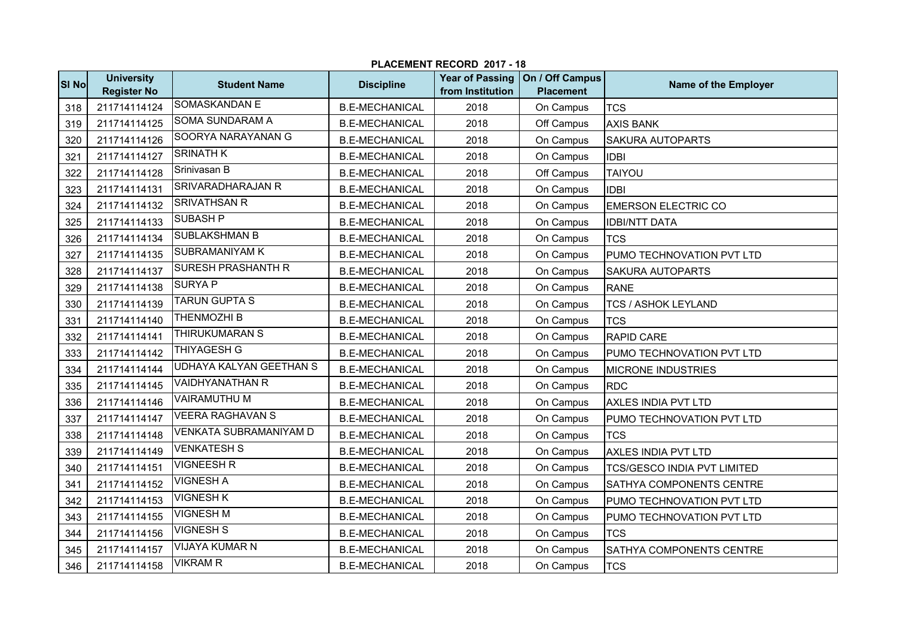|              | PLACEMENT RECORD 2017 - 18              |                                |                       |                                            |                                     |                                    |  |  |  |
|--------------|-----------------------------------------|--------------------------------|-----------------------|--------------------------------------------|-------------------------------------|------------------------------------|--|--|--|
| <b>SI No</b> | <b>University</b><br><b>Register No</b> | <b>Student Name</b>            | <b>Discipline</b>     | <b>Year of Passing</b><br>from Institution | On / Off Campus<br><b>Placement</b> | Name of the Employer               |  |  |  |
| 318          | 211714114124                            | SOMASKANDAN E                  | <b>B.E-MECHANICAL</b> | 2018                                       | On Campus                           | <b>TCS</b>                         |  |  |  |
| 319          | 211714114125                            | <b>SOMA SUNDARAM A</b>         | <b>B.E-MECHANICAL</b> | 2018                                       | Off Campus                          | <b>AXIS BANK</b>                   |  |  |  |
| 320          | 211714114126                            | SOORYA NARAYANAN G             | <b>B.E-MECHANICAL</b> | 2018                                       | On Campus                           | <b>SAKURA AUTOPARTS</b>            |  |  |  |
| 321          | 211714114127                            | <b>SRINATH K</b>               | <b>B.E-MECHANICAL</b> | 2018                                       | On Campus                           | <b>IDBI</b>                        |  |  |  |
| 322          | 211714114128                            | Srinivasan B                   | <b>B.E-MECHANICAL</b> | 2018                                       | Off Campus                          | <b>TAIYOU</b>                      |  |  |  |
| 323          | 211714114131                            | <b>SRIVARADHARAJAN R</b>       | <b>B.E-MECHANICAL</b> | 2018                                       | On Campus                           | <b>IDBI</b>                        |  |  |  |
| 324          | 211714114132                            | <b>SRIVATHSAN R</b>            | <b>B.E-MECHANICAL</b> | 2018                                       | On Campus                           | <b>EMERSON ELECTRIC CO</b>         |  |  |  |
| 325          | 211714114133                            | <b>SUBASH P</b>                | <b>B.E-MECHANICAL</b> | 2018                                       | On Campus                           | <b>IDBI/NTT DATA</b>               |  |  |  |
| 326          | 211714114134                            | <b>SUBLAKSHMAN B</b>           | <b>B.E-MECHANICAL</b> | 2018                                       | On Campus                           | <b>TCS</b>                         |  |  |  |
| 327          | 211714114135                            | <b>SUBRAMANIYAM K</b>          | <b>B.E-MECHANICAL</b> | 2018                                       | On Campus                           | PUMO TECHNOVATION PVT LTD          |  |  |  |
| 328          | 211714114137                            | <b>SURESH PRASHANTH R</b>      | <b>B.E-MECHANICAL</b> | 2018                                       | On Campus                           | <b>SAKURA AUTOPARTS</b>            |  |  |  |
| 329          | 211714114138                            | <b>SURYA P</b>                 | <b>B.E-MECHANICAL</b> | 2018                                       | On Campus                           | <b>RANE</b>                        |  |  |  |
| 330          | 211714114139                            | <b>TARUN GUPTA S</b>           | <b>B.E-MECHANICAL</b> | 2018                                       | On Campus                           | <b>TCS / ASHOK LEYLAND</b>         |  |  |  |
| 331          | 211714114140                            | <b>THENMOZHI B</b>             | <b>B.E-MECHANICAL</b> | 2018                                       | On Campus                           | <b>TCS</b>                         |  |  |  |
| 332          | 211714114141                            | <b>THIRUKUMARAN S</b>          | <b>B.E-MECHANICAL</b> | 2018                                       | On Campus                           | <b>RAPID CARE</b>                  |  |  |  |
| 333          | 211714114142                            | <b>THIYAGESH G</b>             | <b>B.E-MECHANICAL</b> | 2018                                       | On Campus                           | PUMO TECHNOVATION PVT LTD          |  |  |  |
| 334          | 211714114144                            | <b>UDHAYA KALYAN GEETHAN S</b> | <b>B.E-MECHANICAL</b> | 2018                                       | On Campus                           | <b>MICRONE INDUSTRIES</b>          |  |  |  |
| 335          | 211714114145                            | <b>VAIDHYANATHAN R</b>         | <b>B.E-MECHANICAL</b> | 2018                                       | On Campus                           | <b>RDC</b>                         |  |  |  |
| 336          | 211714114146                            | <b>VAIRAMUTHUM</b>             | <b>B.E-MECHANICAL</b> | 2018                                       | On Campus                           | <b>AXLES INDIA PVT LTD</b>         |  |  |  |
| 337          | 211714114147                            | <b>VEERA RAGHAVAN S</b>        | <b>B.E-MECHANICAL</b> | 2018                                       | On Campus                           | PUMO TECHNOVATION PVT LTD          |  |  |  |
| 338          | 211714114148                            | <b>VENKATA SUBRAMANIYAM D</b>  | <b>B.E-MECHANICAL</b> | 2018                                       | On Campus                           | <b>TCS</b>                         |  |  |  |
| 339          | 211714114149                            | <b>VENKATESH S</b>             | <b>B.E-MECHANICAL</b> | 2018                                       | On Campus                           | <b>AXLES INDIA PVT LTD</b>         |  |  |  |
| 340          | 211714114151                            | <b>VIGNEESH R</b>              | <b>B.E-MECHANICAL</b> | 2018                                       | On Campus                           | <b>TCS/GESCO INDIA PVT LIMITED</b> |  |  |  |
| 341          | 211714114152                            | <b>VIGNESH A</b>               | <b>B.E-MECHANICAL</b> | 2018                                       | On Campus                           | SATHYA COMPONENTS CENTRE           |  |  |  |
| 342          | 211714114153                            | <b>VIGNESH K</b>               | <b>B.E-MECHANICAL</b> | 2018                                       | On Campus                           | PUMO TECHNOVATION PVT LTD          |  |  |  |
| 343          | 211714114155                            | <b>VIGNESH M</b>               | <b>B.E-MECHANICAL</b> | 2018                                       | On Campus                           | PUMO TECHNOVATION PVT LTD          |  |  |  |
| 344          | 211714114156                            | <b>VIGNESH S</b>               | <b>B.E-MECHANICAL</b> | 2018                                       | On Campus                           | <b>TCS</b>                         |  |  |  |
| 345          | 211714114157                            | <b>VIJAYA KUMAR N</b>          | <b>B.E-MECHANICAL</b> | 2018                                       | On Campus                           | SATHYA COMPONENTS CENTRE           |  |  |  |
| 346          | 211714114158                            | <b>VIKRAM R</b>                | <b>B.E-MECHANICAL</b> | 2018                                       | On Campus                           | <b>TCS</b>                         |  |  |  |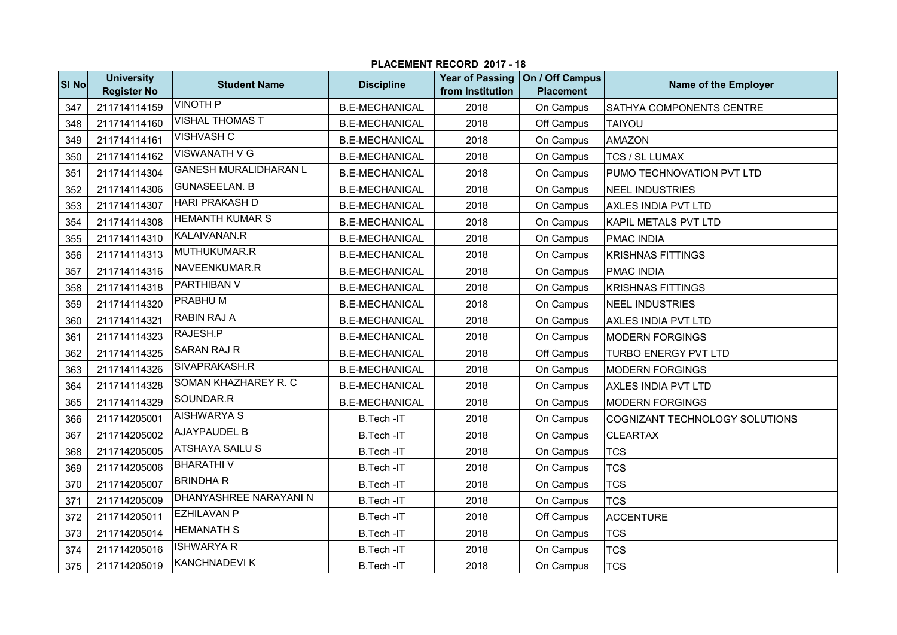| PLACEMENT RECORD 2017 - 18 |                                         |                              |                       |                                            |                                     |                                |  |  |  |
|----------------------------|-----------------------------------------|------------------------------|-----------------------|--------------------------------------------|-------------------------------------|--------------------------------|--|--|--|
| SI No                      | <b>University</b><br><b>Register No</b> | <b>Student Name</b>          | <b>Discipline</b>     | <b>Year of Passing</b><br>from Institution | On / Off Campus<br><b>Placement</b> | Name of the Employer           |  |  |  |
| 347                        | 211714114159                            | <b>VINOTH P</b>              | <b>B.E-MECHANICAL</b> | 2018                                       | On Campus                           | SATHYA COMPONENTS CENTRE       |  |  |  |
| 348                        | 211714114160                            | <b>VISHAL THOMAS T</b>       | <b>B.E-MECHANICAL</b> | 2018                                       | Off Campus                          | <b>TAIYOU</b>                  |  |  |  |
| 349                        | 211714114161                            | <b>VISHVASH C</b>            | <b>B.E-MECHANICAL</b> | 2018                                       | On Campus                           | <b>AMAZON</b>                  |  |  |  |
| 350                        | 211714114162                            | <b>VISWANATH V G</b>         | <b>B.E-MECHANICAL</b> | 2018                                       | On Campus                           | <b>TCS / SL LUMAX</b>          |  |  |  |
| 351                        | 211714114304                            | <b>GANESH MURALIDHARAN L</b> | <b>B.E-MECHANICAL</b> | 2018                                       | On Campus                           | PUMO TECHNOVATION PVT LTD      |  |  |  |
| 352                        | 211714114306                            | <b>GUNASEELAN. B</b>         | <b>B.E-MECHANICAL</b> | 2018                                       | On Campus                           | <b>NEEL INDUSTRIES</b>         |  |  |  |
| 353                        | 211714114307                            | <b>HARI PRAKASH D</b>        | <b>B.E-MECHANICAL</b> | 2018                                       | On Campus                           | <b>AXLES INDIA PVT LTD</b>     |  |  |  |
| 354                        | 211714114308                            | <b>HEMANTH KUMAR S</b>       | <b>B.E-MECHANICAL</b> | 2018                                       | On Campus                           | <b>KAPIL METALS PVT LTD</b>    |  |  |  |
| 355                        | 211714114310                            | KALAIVANAN.R                 | <b>B.E-MECHANICAL</b> | 2018                                       | On Campus                           | <b>PMAC INDIA</b>              |  |  |  |
| 356                        | 211714114313                            | MUTHUKUMAR.R                 | <b>B.E-MECHANICAL</b> | 2018                                       | On Campus                           | <b>KRISHNAS FITTINGS</b>       |  |  |  |
| 357                        | 211714114316                            | NAVEENKUMAR.R                | <b>B.E-MECHANICAL</b> | 2018                                       | On Campus                           | <b>PMAC INDIA</b>              |  |  |  |
| 358                        | 211714114318                            | PARTHIBAN V                  | <b>B.E-MECHANICAL</b> | 2018                                       | On Campus                           | <b>KRISHNAS FITTINGS</b>       |  |  |  |
| 359                        | 211714114320                            | PRABHU M                     | <b>B.E-MECHANICAL</b> | 2018                                       | On Campus                           | NEEL INDUSTRIES                |  |  |  |
| 360                        | 211714114321                            | <b>RABIN RAJ A</b>           | <b>B.E-MECHANICAL</b> | 2018                                       | On Campus                           | <b>AXLES INDIA PVT LTD</b>     |  |  |  |
| 361                        | 211714114323                            | RAJESH.P                     | <b>B.E-MECHANICAL</b> | 2018                                       | On Campus                           | <b>MODERN FORGINGS</b>         |  |  |  |
| 362                        | 211714114325                            | <b>SARAN RAJ R</b>           | <b>B.E-MECHANICAL</b> | 2018                                       | Off Campus                          | <b>TURBO ENERGY PVT LTD</b>    |  |  |  |
| 363                        | 211714114326                            | SIVAPRAKASH.R                | <b>B.E-MECHANICAL</b> | 2018                                       | On Campus                           | <b>MODERN FORGINGS</b>         |  |  |  |
| 364                        | 211714114328                            | SOMAN KHAZHAREY R. C         | <b>B.E-MECHANICAL</b> | 2018                                       | On Campus                           | <b>AXLES INDIA PVT LTD</b>     |  |  |  |
| 365                        | 211714114329                            | SOUNDAR.R                    | <b>B.E-MECHANICAL</b> | 2018                                       | On Campus                           | <b>MODERN FORGINGS</b>         |  |  |  |
| 366                        | 211714205001                            | <b>AISHWARYA S</b>           | B.Tech-IT             | 2018                                       | On Campus                           | COGNIZANT TECHNOLOGY SOLUTIONS |  |  |  |
| 367                        | 211714205002                            | <b>AJAYPAUDEL B</b>          | <b>B.Tech-IT</b>      | 2018                                       | On Campus                           | <b>CLEARTAX</b>                |  |  |  |
| 368                        | 211714205005                            | <b>ATSHAYA SAILU S</b>       | B.Tech-IT             | 2018                                       | On Campus                           | <b>TCS</b>                     |  |  |  |
| 369                        | 211714205006                            | <b>BHARATHIV</b>             | B.Tech-IT             | 2018                                       | On Campus                           | <b>TCS</b>                     |  |  |  |
| 370                        | 211714205007                            | <b>BRINDHAR</b>              | <b>B.Tech-IT</b>      | 2018                                       | On Campus                           | <b>TCS</b>                     |  |  |  |
| 371                        | 211714205009                            | DHANYASHREE NARAYANI N       | <b>B.Tech-IT</b>      | 2018                                       | On Campus                           | <b>TCS</b>                     |  |  |  |
| 372                        | 211714205011                            | <b>EZHILAVAN P</b>           | B.Tech-IT             | 2018                                       | Off Campus                          | <b>ACCENTURE</b>               |  |  |  |
| 373                        | 211714205014                            | <b>HEMANATH S</b>            | B.Tech-IT             | 2018                                       | On Campus                           | <b>TCS</b>                     |  |  |  |
| 374                        | 211714205016                            | <b>ISHWARYA R</b>            | B.Tech-IT             | 2018                                       | On Campus                           | <b>TCS</b>                     |  |  |  |
| 375                        | 211714205019                            | <b>KANCHNADEVIK</b>          | B.Tech-IT             | 2018                                       | On Campus                           | <b>TCS</b>                     |  |  |  |